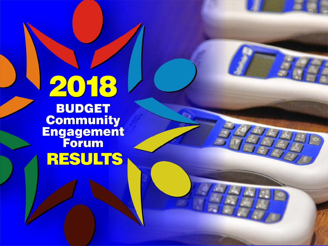

**BUDGET**<br>Community **Engagement RESULTS**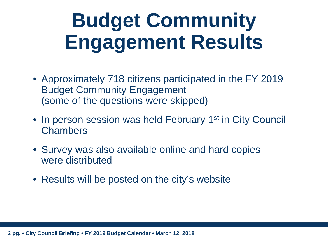- Approximately 718 citizens participated in the FY 2019 Budget Community Engagement (some of the questions were skipped)
- In person session was held February 1<sup>st</sup> in City Council **Chambers**
- Survey was also available online and hard copies were distributed
- Results will be posted on the city's website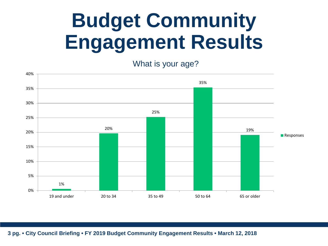What is your age?

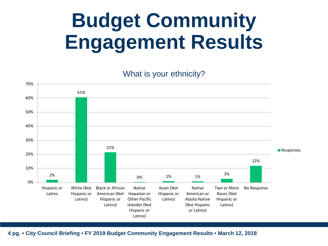What is your ethnicity?

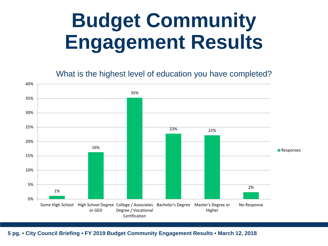What is the highest level of education you have completed?

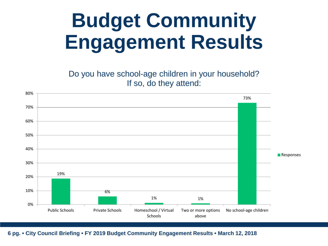Do you have school-age children in your household? If so, do they attend:

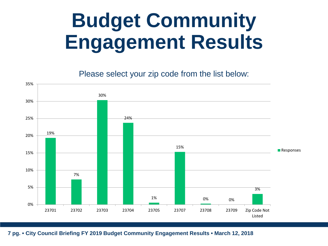Please select your zip code from the list below:

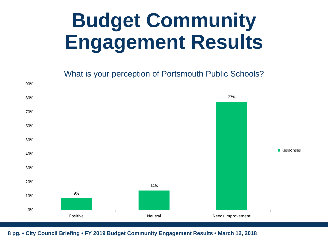What is your perception of Portsmouth Public Schools?

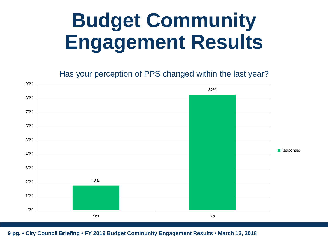Has your perception of PPS changed within the last year?

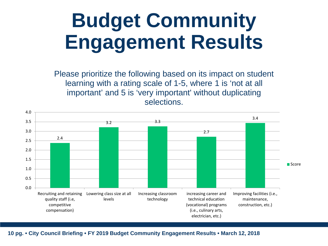Please prioritize the following based on its impact on student learning with a rating scale of 1-5, where 1 is 'not at all important' and 5 is 'very important' without duplicating selections.

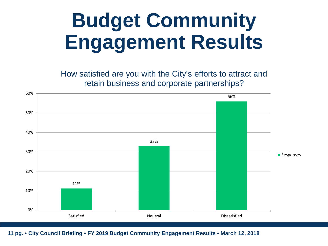How satisfied are you with the City's efforts to attract and retain business and corporate partnerships?

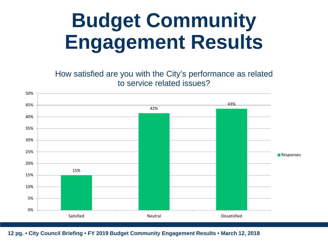How satisfied are you with the City's performance as related to service related issues?

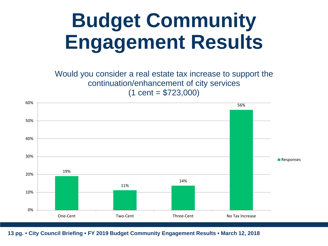Would you consider a real estate tax increase to support the continuation/enhancement of city services  $(1 cent = $723,000)$ 

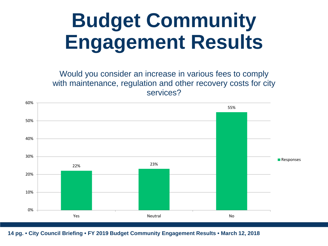Would you consider an increase in various fees to comply with maintenance, regulation and other recovery costs for city services?

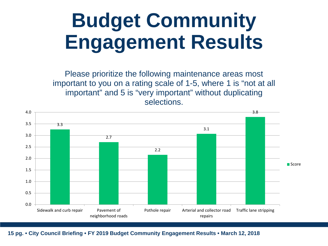Please prioritize the following maintenance areas most important to you on a rating scale of 1-5, where 1 is "not at all important" and 5 is "very important" without duplicating selections.

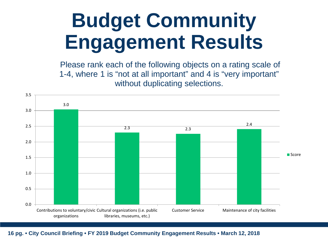Please rank each of the following objects on a rating scale of 1-4, where 1 is "not at all important" and 4 is "very important" without duplicating selections.

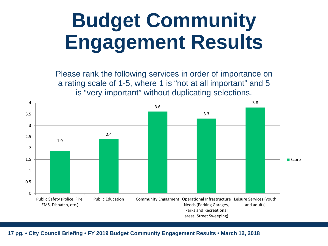Please rank the following services in order of importance on a rating scale of 1-5, where 1 is "not at all important" and 5 is "very important" without duplicating selections.

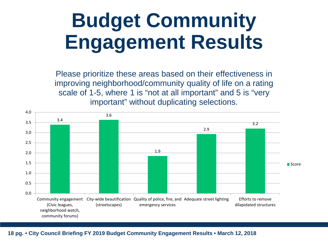Please prioritize these areas based on their effectiveness in improving neighborhood/community quality of life on a rating scale of 1-5, where 1 is "not at all important" and 5 is "very important" without duplicating selections.

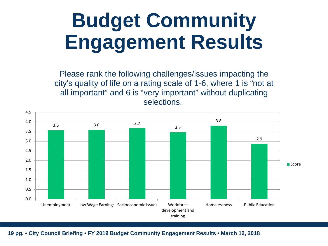Please rank the following challenges/issues impacting the city's quality of life on a rating scale of 1-6, where 1 is "not at all important" and 6 is "very important" without duplicating selections.